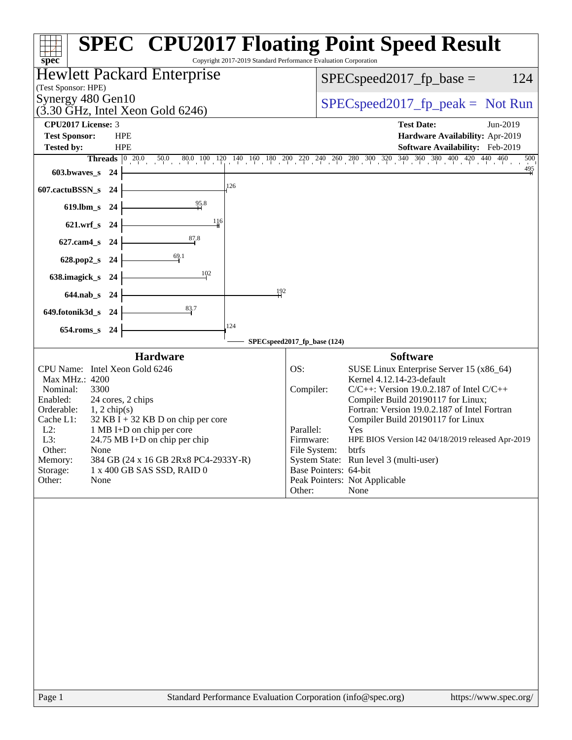| Copyright 2017-2019 Standard Performance Evaluation Corporation<br>spec <sup>®</sup>                                                                                                                                                                                                                                                                                                                                          | <b>SPEC<sup>®</sup> CPU2017 Floating Point Speed Result</b>                                                                                                                                                                                                                                                                                                                                                                                                                                                                   |  |  |  |  |  |
|-------------------------------------------------------------------------------------------------------------------------------------------------------------------------------------------------------------------------------------------------------------------------------------------------------------------------------------------------------------------------------------------------------------------------------|-------------------------------------------------------------------------------------------------------------------------------------------------------------------------------------------------------------------------------------------------------------------------------------------------------------------------------------------------------------------------------------------------------------------------------------------------------------------------------------------------------------------------------|--|--|--|--|--|
| Hewlett Packard Enterprise<br>(Test Sponsor: HPE)                                                                                                                                                                                                                                                                                                                                                                             | 124<br>$SPEC speed2017fp base =$                                                                                                                                                                                                                                                                                                                                                                                                                                                                                              |  |  |  |  |  |
| Synergy 480 Gen10<br>$(3.30 \text{ GHz}, \text{Intel Xeon Gold } 6246)$                                                                                                                                                                                                                                                                                                                                                       | $SPEC speed2017fr peak = Not Run$                                                                                                                                                                                                                                                                                                                                                                                                                                                                                             |  |  |  |  |  |
| CPU2017 License: 3                                                                                                                                                                                                                                                                                                                                                                                                            | <b>Test Date:</b><br>Jun-2019                                                                                                                                                                                                                                                                                                                                                                                                                                                                                                 |  |  |  |  |  |
| <b>Test Sponsor:</b><br><b>HPE</b>                                                                                                                                                                                                                                                                                                                                                                                            | Hardware Availability: Apr-2019                                                                                                                                                                                                                                                                                                                                                                                                                                                                                               |  |  |  |  |  |
| Tested by:<br><b>HPE</b>                                                                                                                                                                                                                                                                                                                                                                                                      | Software Availability: Feb-2019                                                                                                                                                                                                                                                                                                                                                                                                                                                                                               |  |  |  |  |  |
| $603.bwaves$ $24$                                                                                                                                                                                                                                                                                                                                                                                                             | Threads 0 20.0 50.0 80.0 100 120 140 160 180 200 220 240 260 280 300 320 340 360 380 400 420 440 460<br>500<br>$\frac{495}{4}$                                                                                                                                                                                                                                                                                                                                                                                                |  |  |  |  |  |
| 126<br>607.cactuBSSN_s 24                                                                                                                                                                                                                                                                                                                                                                                                     |                                                                                                                                                                                                                                                                                                                                                                                                                                                                                                                               |  |  |  |  |  |
| 95.8<br>$619$ .lbm_s<br>24                                                                                                                                                                                                                                                                                                                                                                                                    |                                                                                                                                                                                                                                                                                                                                                                                                                                                                                                                               |  |  |  |  |  |
| 116<br>621.wrf_s 24                                                                                                                                                                                                                                                                                                                                                                                                           |                                                                                                                                                                                                                                                                                                                                                                                                                                                                                                                               |  |  |  |  |  |
| 87.8<br>627.cam4_s 24                                                                                                                                                                                                                                                                                                                                                                                                         |                                                                                                                                                                                                                                                                                                                                                                                                                                                                                                                               |  |  |  |  |  |
| 628.pop2_s 24                                                                                                                                                                                                                                                                                                                                                                                                                 |                                                                                                                                                                                                                                                                                                                                                                                                                                                                                                                               |  |  |  |  |  |
| 102<br>638.imagick_s 24                                                                                                                                                                                                                                                                                                                                                                                                       |                                                                                                                                                                                                                                                                                                                                                                                                                                                                                                                               |  |  |  |  |  |
| 192<br>644.nab_s 24                                                                                                                                                                                                                                                                                                                                                                                                           |                                                                                                                                                                                                                                                                                                                                                                                                                                                                                                                               |  |  |  |  |  |
| 83.7<br>649.fotonik3d_s 24                                                                                                                                                                                                                                                                                                                                                                                                    |                                                                                                                                                                                                                                                                                                                                                                                                                                                                                                                               |  |  |  |  |  |
| 124<br>654.roms_s 24                                                                                                                                                                                                                                                                                                                                                                                                          |                                                                                                                                                                                                                                                                                                                                                                                                                                                                                                                               |  |  |  |  |  |
|                                                                                                                                                                                                                                                                                                                                                                                                                               | SPECspeed2017_fp_base (124)                                                                                                                                                                                                                                                                                                                                                                                                                                                                                                   |  |  |  |  |  |
| <b>Hardware</b><br>CPU Name: Intel Xeon Gold 6246<br>Max MHz.: 4200<br>3300<br>Nominal:<br>Enabled:<br>24 cores, 2 chips<br>Orderable:<br>$1, 2$ chip(s)<br>$32$ KB I + 32 KB D on chip per core<br>Cache L1:<br>$L2$ :<br>1 MB I+D on chip per core<br>L3:<br>24.75 MB I+D on chip per chip<br>Other:<br>None<br>Memory:<br>384 GB (24 x 16 GB 2Rx8 PC4-2933Y-R)<br>Storage:<br>1 x 400 GB SAS SSD, RAID 0<br>Other:<br>None | <b>Software</b><br>SUSE Linux Enterprise Server 15 (x86_64)<br>OS:<br>Kernel 4.12.14-23-default<br>Compiler:<br>$C/C++$ : Version 19.0.2.187 of Intel $C/C++$<br>Compiler Build 20190117 for Linux;<br>Fortran: Version 19.0.2.187 of Intel Fortran<br>Compiler Build 20190117 for Linux<br>Parallel:<br>Yes<br>Firmware:<br>HPE BIOS Version I42 04/18/2019 released Apr-2019<br>File System:<br>btrfs<br>System State: Run level 3 (multi-user)<br>Base Pointers: 64-bit<br>Peak Pointers: Not Applicable<br>Other:<br>None |  |  |  |  |  |
|                                                                                                                                                                                                                                                                                                                                                                                                                               |                                                                                                                                                                                                                                                                                                                                                                                                                                                                                                                               |  |  |  |  |  |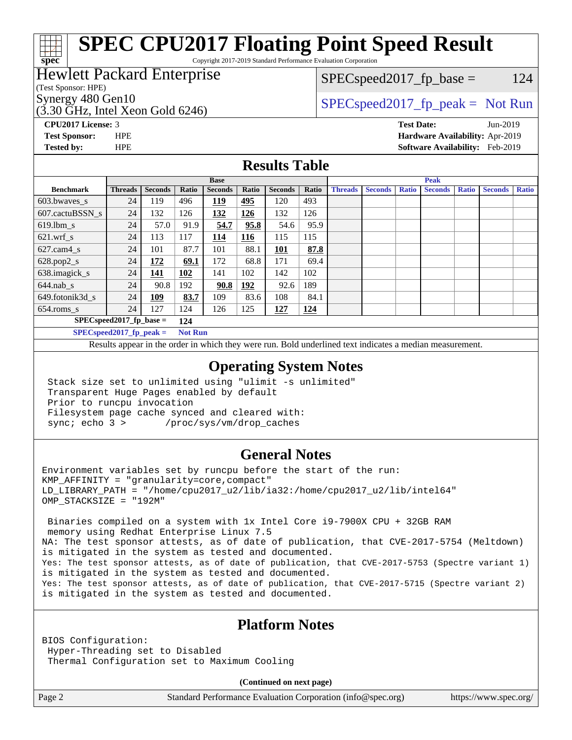# **[SPEC CPU2017 Floating Point Speed Result](http://www.spec.org/auto/cpu2017/Docs/result-fields.html#SPECCPU2017FloatingPointSpeedResult)**

Copyright 2017-2019 Standard Performance Evaluation Corporation

## Hewlett Packard Enterprise

(Test Sponsor: HPE)

**[spec](http://www.spec.org/)**

 $SPEC speed2017_fp\_base = 124$ 

(3.30 GHz, Intel Xeon Gold 6246)

Synergy 480 Gen10<br>  $SPEC speed2017$  [p\_peak = Not Run

**[CPU2017 License:](http://www.spec.org/auto/cpu2017/Docs/result-fields.html#CPU2017License)** 3 **[Test Date:](http://www.spec.org/auto/cpu2017/Docs/result-fields.html#TestDate)** Jun-2019 **[Test Sponsor:](http://www.spec.org/auto/cpu2017/Docs/result-fields.html#TestSponsor)** HPE **[Hardware Availability:](http://www.spec.org/auto/cpu2017/Docs/result-fields.html#HardwareAvailability)** Apr-2019 **[Tested by:](http://www.spec.org/auto/cpu2017/Docs/result-fields.html#Testedby)** HPE **[Software Availability:](http://www.spec.org/auto/cpu2017/Docs/result-fields.html#SoftwareAvailability)** Feb-2019

## **[Results Table](http://www.spec.org/auto/cpu2017/Docs/result-fields.html#ResultsTable)**

|                                   | <b>Base</b>               |                |                |                | <b>Peak</b> |                |            |                |                |              |                |              |                |              |
|-----------------------------------|---------------------------|----------------|----------------|----------------|-------------|----------------|------------|----------------|----------------|--------------|----------------|--------------|----------------|--------------|
| <b>Benchmark</b>                  | <b>Threads</b>            | <b>Seconds</b> | Ratio          | <b>Seconds</b> | Ratio       | <b>Seconds</b> | Ratio      | <b>Threads</b> | <b>Seconds</b> | <b>Ratio</b> | <b>Seconds</b> | <b>Ratio</b> | <b>Seconds</b> | <b>Ratio</b> |
| $603.bwaves$ s                    | 24                        | 119            | 496            | <u> 119</u>    | 495         | 120            | 493        |                |                |              |                |              |                |              |
| 607.cactuBSSN s                   | 24                        | 132            | 126            | 132            | 126         | 132            | 126        |                |                |              |                |              |                |              |
| $619.1$ bm s                      | 24                        | 57.0           | 91.9           | 54.7           | 95.8        | 54.6           | 95.9       |                |                |              |                |              |                |              |
| $621.wrf$ s                       | 24                        | 113            | 117            | 114            | <u>116</u>  | 115            | 115        |                |                |              |                |              |                |              |
| $627$ .cam4 s                     | 24                        | 101            | 87.7           | 101            | 88.1        | <u>101</u>     | 87.8       |                |                |              |                |              |                |              |
| $628.pop2_s$                      | 24                        | 172            | 69.1           | 172            | 68.8        | 171            | 69.4       |                |                |              |                |              |                |              |
| 638.imagick_s                     | 24                        | 141            | 102            | 141            | 102         | 142            | 102        |                |                |              |                |              |                |              |
| $644$ .nab s                      | 24                        | 90.8           | 192            | 90.8           | 192         | 92.6           | 189        |                |                |              |                |              |                |              |
| 649.fotonik3d s                   | 24                        | <u>109</u>     | 83.7           | 109            | 83.6        | 108            | 84.1       |                |                |              |                |              |                |              |
| $654$ .roms s                     | 24                        | 127            | 124            | 126            | 125         | <u>127</u>     | <u>124</u> |                |                |              |                |              |                |              |
| $SPEC speed2017$ fp base =<br>124 |                           |                |                |                |             |                |            |                |                |              |                |              |                |              |
|                                   | $SPECspeed2017$ fp peak = |                | <b>Not Run</b> |                |             |                |            |                |                |              |                |              |                |              |

Results appear in the [order in which they were run.](http://www.spec.org/auto/cpu2017/Docs/result-fields.html#RunOrder) Bold underlined text [indicates a median measurement](http://www.spec.org/auto/cpu2017/Docs/result-fields.html#Median).

## **[Operating System Notes](http://www.spec.org/auto/cpu2017/Docs/result-fields.html#OperatingSystemNotes)**

 Stack size set to unlimited using "ulimit -s unlimited" Transparent Huge Pages enabled by default Prior to runcpu invocation Filesystem page cache synced and cleared with: sync; echo 3 > /proc/sys/vm/drop\_caches

## **[General Notes](http://www.spec.org/auto/cpu2017/Docs/result-fields.html#GeneralNotes)**

Environment variables set by runcpu before the start of the run: KMP\_AFFINITY = "granularity=core,compact" LD\_LIBRARY\_PATH = "/home/cpu2017\_u2/lib/ia32:/home/cpu2017\_u2/lib/intel64" OMP\_STACKSIZE = "192M"

 Binaries compiled on a system with 1x Intel Core i9-7900X CPU + 32GB RAM memory using Redhat Enterprise Linux 7.5 NA: The test sponsor attests, as of date of publication, that CVE-2017-5754 (Meltdown) is mitigated in the system as tested and documented. Yes: The test sponsor attests, as of date of publication, that CVE-2017-5753 (Spectre variant 1) is mitigated in the system as tested and documented. Yes: The test sponsor attests, as of date of publication, that CVE-2017-5715 (Spectre variant 2) is mitigated in the system as tested and documented.

## **[Platform Notes](http://www.spec.org/auto/cpu2017/Docs/result-fields.html#PlatformNotes)**

BIOS Configuration: Hyper-Threading set to Disabled Thermal Configuration set to Maximum Cooling

**(Continued on next page)**

Page 2 Standard Performance Evaluation Corporation [\(info@spec.org\)](mailto:info@spec.org) <https://www.spec.org/>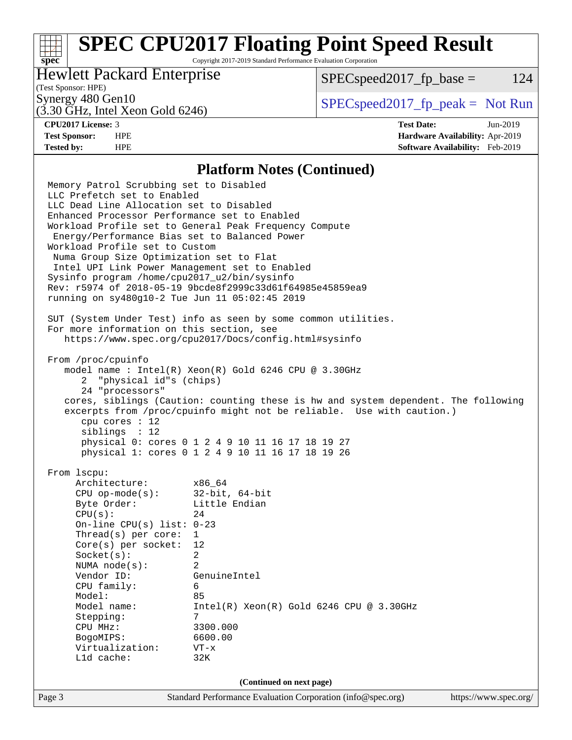## **[SPEC CPU2017 Floating Point Speed Result](http://www.spec.org/auto/cpu2017/Docs/result-fields.html#SPECCPU2017FloatingPointSpeedResult)**

Copyright 2017-2019 Standard Performance Evaluation Corporation

## Hewlett Packard Enterprise

 $SPEC speed2017_fp\_base = 124$ 

## (Test Sponsor: HPE)

(3.30 GHz, Intel Xeon Gold 6246)

Synergy 480 Gen10  $S^{perg}$  [SPECspeed2017\\_fp\\_peak =](http://www.spec.org/auto/cpu2017/Docs/result-fields.html#SPECspeed2017fppeak) Not Run

**[spec](http://www.spec.org/)**

**[CPU2017 License:](http://www.spec.org/auto/cpu2017/Docs/result-fields.html#CPU2017License)** 3 **[Test Date:](http://www.spec.org/auto/cpu2017/Docs/result-fields.html#TestDate)** Jun-2019 **[Test Sponsor:](http://www.spec.org/auto/cpu2017/Docs/result-fields.html#TestSponsor)** HPE **[Hardware Availability:](http://www.spec.org/auto/cpu2017/Docs/result-fields.html#HardwareAvailability)** Apr-2019 **[Tested by:](http://www.spec.org/auto/cpu2017/Docs/result-fields.html#Testedby)** HPE **[Software Availability:](http://www.spec.org/auto/cpu2017/Docs/result-fields.html#SoftwareAvailability)** Feb-2019

### **[Platform Notes \(Continued\)](http://www.spec.org/auto/cpu2017/Docs/result-fields.html#PlatformNotes)**

Page 3 Standard Performance Evaluation Corporation [\(info@spec.org\)](mailto:info@spec.org) <https://www.spec.org/> Memory Patrol Scrubbing set to Disabled LLC Prefetch set to Enabled LLC Dead Line Allocation set to Disabled Enhanced Processor Performance set to Enabled Workload Profile set to General Peak Frequency Compute Energy/Performance Bias set to Balanced Power Workload Profile set to Custom Numa Group Size Optimization set to Flat Intel UPI Link Power Management set to Enabled Sysinfo program /home/cpu2017\_u2/bin/sysinfo Rev: r5974 of 2018-05-19 9bcde8f2999c33d61f64985e45859ea9 running on sy480g10-2 Tue Jun 11 05:02:45 2019 SUT (System Under Test) info as seen by some common utilities. For more information on this section, see <https://www.spec.org/cpu2017/Docs/config.html#sysinfo> From /proc/cpuinfo model name : Intel(R) Xeon(R) Gold 6246 CPU @ 3.30GHz 2 "physical id"s (chips) 24 "processors" cores, siblings (Caution: counting these is hw and system dependent. The following excerpts from /proc/cpuinfo might not be reliable. Use with caution.) cpu cores : 12 siblings : 12 physical 0: cores 0 1 2 4 9 10 11 16 17 18 19 27 physical 1: cores 0 1 2 4 9 10 11 16 17 18 19 26 From lscpu: Architecture: x86\_64 CPU op-mode(s): 32-bit, 64-bit Byte Order: Little Endian  $CPU(s):$  24 On-line CPU(s) list: 0-23 Thread(s) per core: 1 Core(s) per socket: 12 Socket(s): 2 NUMA node(s): 2 Vendor ID: GenuineIntel CPU family: 6 Model: 85 Model name: Intel(R) Xeon(R) Gold 6246 CPU @ 3.30GHz Stepping: 7 CPU MHz: 3300.000 BogoMIPS: 6600.00 Virtualization: VT-x L1d cache: 32K **(Continued on next page)**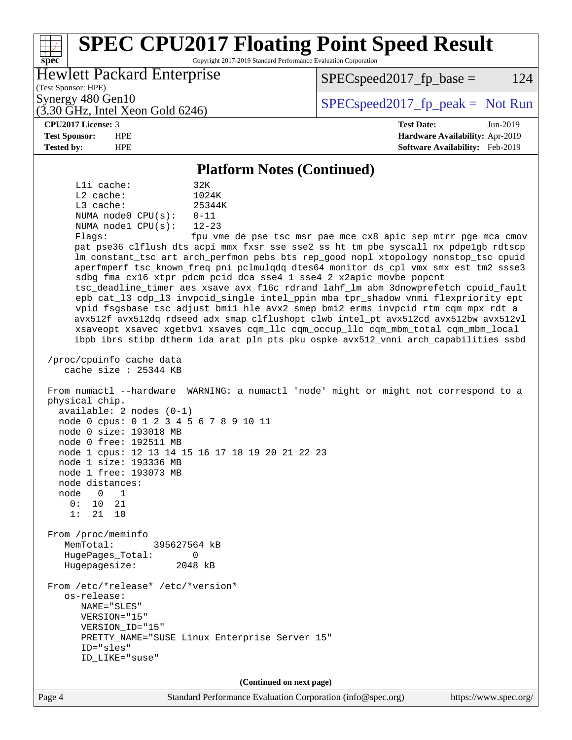### **[spec](http://www.spec.org/) [SPEC CPU2017 Floating Point Speed Result](http://www.spec.org/auto/cpu2017/Docs/result-fields.html#SPECCPU2017FloatingPointSpeedResult)** Copyright 2017-2019 Standard Performance Evaluation Corporation (Test Sponsor: HPE) Hewlett Packard Enterprise (3.30 GHz, Intel Xeon Gold 6246) Synergy 480 Gen10  $S^{per}$  [SPECspeed2017\\_fp\\_peak =](http://www.spec.org/auto/cpu2017/Docs/result-fields.html#SPECspeed2017fppeak) Not Run  $SPEC speed2017_fp\_base = 124$ **[CPU2017 License:](http://www.spec.org/auto/cpu2017/Docs/result-fields.html#CPU2017License)** 3 **[Test Date:](http://www.spec.org/auto/cpu2017/Docs/result-fields.html#TestDate)** Jun-2019 **[Test Sponsor:](http://www.spec.org/auto/cpu2017/Docs/result-fields.html#TestSponsor)** HPE **[Hardware Availability:](http://www.spec.org/auto/cpu2017/Docs/result-fields.html#HardwareAvailability)** Apr-2019 **[Tested by:](http://www.spec.org/auto/cpu2017/Docs/result-fields.html#Testedby)** HPE **[Software Availability:](http://www.spec.org/auto/cpu2017/Docs/result-fields.html#SoftwareAvailability)** Feb-2019 **[Platform Notes \(Continued\)](http://www.spec.org/auto/cpu2017/Docs/result-fields.html#PlatformNotes)** L1i cache: 32K L2 cache: 1024K L3 cache: 25344K NUMA node0 CPU(s): 0-11 NUMA node1 CPU(s): 12-23 Flags: fpu vme de pse tsc msr pae mce cx8 apic sep mtrr pge mca cmov pat pse36 clflush dts acpi mmx fxsr sse sse2 ss ht tm pbe syscall nx pdpe1gb rdtscp lm constant\_tsc art arch\_perfmon pebs bts rep\_good nopl xtopology nonstop\_tsc cpuid aperfmperf tsc\_known\_freq pni pclmulqdq dtes64 monitor ds\_cpl vmx smx est tm2 ssse3 sdbg fma cx16 xtpr pdcm pcid dca sse4\_1 sse4\_2 x2apic movbe popcnt tsc\_deadline\_timer aes xsave avx f16c rdrand lahf\_lm abm 3dnowprefetch cpuid\_fault epb cat\_l3 cdp\_l3 invpcid\_single intel\_ppin mba tpr\_shadow vnmi flexpriority ept vpid fsgsbase tsc\_adjust bmi1 hle avx2 smep bmi2 erms invpcid rtm cqm mpx rdt\_a avx512f avx512dq rdseed adx smap clflushopt clwb intel\_pt avx512cd avx512bw avx512vl xsaveopt xsavec xgetbv1 xsaves cqm\_llc cqm\_occup\_llc cqm\_mbm\_total cqm\_mbm\_local ibpb ibrs stibp dtherm ida arat pln pts pku ospke avx512\_vnni arch\_capabilities ssbd /proc/cpuinfo cache data cache size : 25344 KB From numactl --hardware WARNING: a numactl 'node' might or might not correspond to a physical chip. available: 2 nodes (0-1) node 0 cpus: 0 1 2 3 4 5 6 7 8 9 10 11 node 0 size: 193018 MB node 0 free: 192511 MB node 1 cpus: 12 13 14 15 16 17 18 19 20 21 22 23 node 1 size: 193336 MB node 1 free: 193073 MB node distances: node 0 1  $0: 10 21$  1: 21 10 From /proc/meminfo MemTotal: 395627564 kB HugePages\_Total: 0 Hugepagesize: 2048 kB From /etc/\*release\* /etc/\*version\* os-release: NAME="SLES" VERSION="15" VERSION\_ID="15" PRETTY\_NAME="SUSE Linux Enterprise Server 15" ID="sles" ID\_LIKE="suse" **(Continued on next page)**

Page 4 Standard Performance Evaluation Corporation [\(info@spec.org\)](mailto:info@spec.org) <https://www.spec.org/>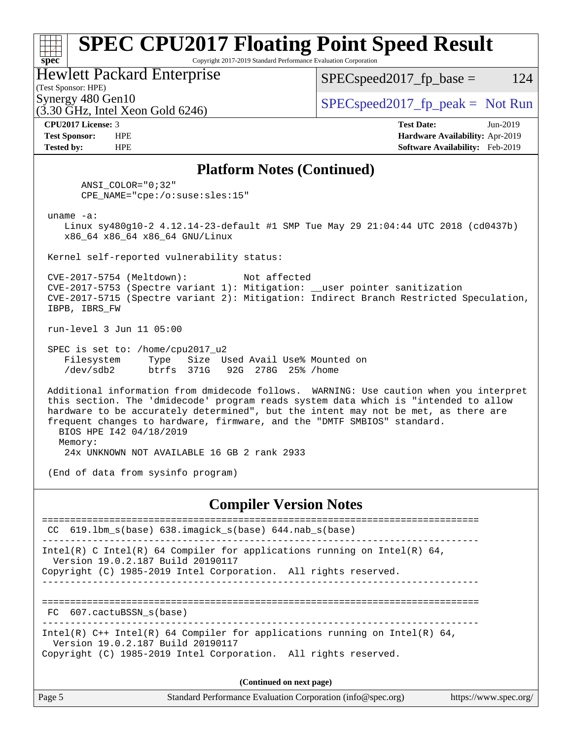### **[spec](http://www.spec.org/) [SPEC CPU2017 Floating Point Speed Result](http://www.spec.org/auto/cpu2017/Docs/result-fields.html#SPECCPU2017FloatingPointSpeedResult)** Copyright 2017-2019 Standard Performance Evaluation Corporation (Test Sponsor: HPE) Hewlett Packard Enterprise  $(3.30 \text{ GHz}, \text{Intel Xeon}$  Gold 6246) Synergy 480 Gen10  $SPEC speed2017$  fp\_peak = Not Run  $SPEC speed2017_fp\_base = 124$ **[CPU2017 License:](http://www.spec.org/auto/cpu2017/Docs/result-fields.html#CPU2017License)** 3 **[Test Date:](http://www.spec.org/auto/cpu2017/Docs/result-fields.html#TestDate)** Jun-2019 **[Test Sponsor:](http://www.spec.org/auto/cpu2017/Docs/result-fields.html#TestSponsor)** HPE **[Hardware Availability:](http://www.spec.org/auto/cpu2017/Docs/result-fields.html#HardwareAvailability)** Apr-2019 **[Tested by:](http://www.spec.org/auto/cpu2017/Docs/result-fields.html#Testedby)** HPE **[Software Availability:](http://www.spec.org/auto/cpu2017/Docs/result-fields.html#SoftwareAvailability)** Feb-2019 **[Platform Notes \(Continued\)](http://www.spec.org/auto/cpu2017/Docs/result-fields.html#PlatformNotes)** ANSI\_COLOR="0;32" CPE\_NAME="cpe:/o:suse:sles:15" uname -a: Linux sy480g10-2 4.12.14-23-default #1 SMP Tue May 29 21:04:44 UTC 2018 (cd0437b) x86\_64 x86\_64 x86\_64 GNU/Linux Kernel self-reported vulnerability status: CVE-2017-5754 (Meltdown): Not affected CVE-2017-5753 (Spectre variant 1): Mitigation: \_\_user pointer sanitization CVE-2017-5715 (Spectre variant 2): Mitigation: Indirect Branch Restricted Speculation, IBPB, IBRS\_FW run-level 3 Jun 11 05:00 SPEC is set to: /home/cpu2017\_u2 Filesystem Type Size Used Avail Use% Mounted on /dev/sdb2 btrfs 371G 92G 278G 25% /home Additional information from dmidecode follows. WARNING: Use caution when you interpret this section. The 'dmidecode' program reads system data which is "intended to allow hardware to be accurately determined", but the intent may not be met, as there are frequent changes to hardware, firmware, and the "DMTF SMBIOS" standard. BIOS HPE I42 04/18/2019 Memory: 24x UNKNOWN NOT AVAILABLE 16 GB 2 rank 2933 (End of data from sysinfo program) **[Compiler Version Notes](http://www.spec.org/auto/cpu2017/Docs/result-fields.html#CompilerVersionNotes)** ============================================================================== CC 619.lbm\_s(base) 638.imagick\_s(base) 644.nab\_s(base) ------------------------------------------------------------------------------ Intel(R) C Intel(R) 64 Compiler for applications running on Intel(R)  $64$ , Version 19.0.2.187 Build 20190117 Copyright (C) 1985-2019 Intel Corporation. All rights reserved. ------------------------------------------------------------------------------ ============================================================================== FC 607.cactuBSSN\_s(base) ------------------------------------------------------------------------------ Intel(R) C++ Intel(R) 64 Compiler for applications running on Intel(R) 64, Version 19.0.2.187 Build 20190117 Copyright (C) 1985-2019 Intel Corporation. All rights reserved. **(Continued on next page)**

| Page 5 | Standard Performance Evaluation Corporation (info@spec.org) | https://www.spec.org/ |
|--------|-------------------------------------------------------------|-----------------------|
|        |                                                             |                       |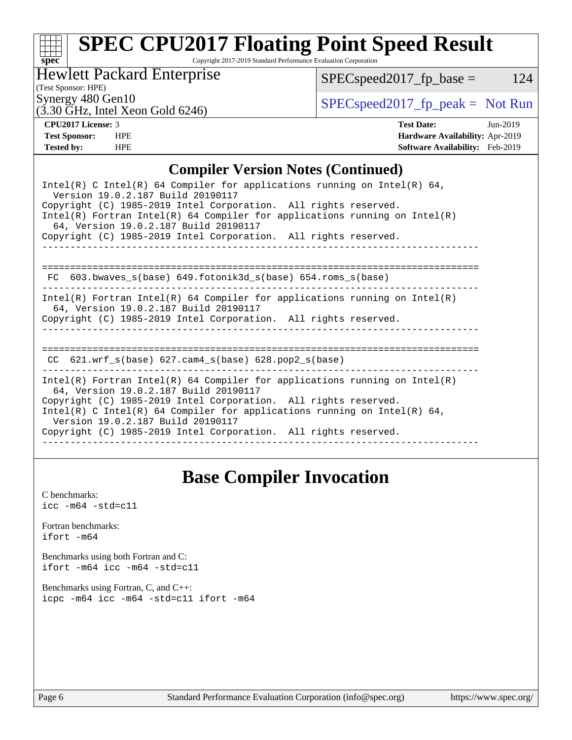# **[spec](http://www.spec.org/)**

# **[SPEC CPU2017 Floating Point Speed Result](http://www.spec.org/auto/cpu2017/Docs/result-fields.html#SPECCPU2017FloatingPointSpeedResult)**

Copyright 2017-2019 Standard Performance Evaluation Corporation

Hewlett Packard Enterprise

 $SPEC speed2017_fp\_base = 124$ 

(Test Sponsor: HPE) (3.30 GHz, Intel Xeon Gold 6246)

Synergy 480 Gen10<br>  $SPEC speed2017<sub>rfp</sub> peak = Not Run$ 

**[CPU2017 License:](http://www.spec.org/auto/cpu2017/Docs/result-fields.html#CPU2017License)** 3 **[Test Date:](http://www.spec.org/auto/cpu2017/Docs/result-fields.html#TestDate)** Jun-2019 **[Test Sponsor:](http://www.spec.org/auto/cpu2017/Docs/result-fields.html#TestSponsor)** HPE **[Hardware Availability:](http://www.spec.org/auto/cpu2017/Docs/result-fields.html#HardwareAvailability)** Apr-2019 **[Tested by:](http://www.spec.org/auto/cpu2017/Docs/result-fields.html#Testedby)** HPE **[Software Availability:](http://www.spec.org/auto/cpu2017/Docs/result-fields.html#SoftwareAvailability)** Feb-2019

## **[Compiler Version Notes \(Continued\)](http://www.spec.org/auto/cpu2017/Docs/result-fields.html#CompilerVersionNotes)**

| Intel(R) C Intel(R) 64 Compiler for applications running on Intel(R) 64,<br>Version 19.0.2.187 Build 20190117<br>Copyright (C) 1985-2019 Intel Corporation. All rights reserved.<br>$Intel(R)$ Fortran Intel(R) 64 Compiler for applications running on Intel(R)<br>64, Version 19.0.2.187 Build 20190117<br>Copyright (C) 1985-2019 Intel Corporation. All rights reserved. |
|------------------------------------------------------------------------------------------------------------------------------------------------------------------------------------------------------------------------------------------------------------------------------------------------------------------------------------------------------------------------------|
| 603.bwaves s(base) 649.fotonik3d s(base) 654.roms s(base)<br>FC.                                                                                                                                                                                                                                                                                                             |
| Intel(R) Fortran Intel(R) 64 Compiler for applications running on Intel(R)<br>64, Version 19.0.2.187 Build 20190117<br>Copyright (C) 1985-2019 Intel Corporation. All rights reserved.                                                                                                                                                                                       |
| CC $621.$ wrf $s(base)$ $627.$ cam4 $s(base)$ $628.$ pop2 $s(base)$                                                                                                                                                                                                                                                                                                          |
| Intel(R) Fortran Intel(R) 64 Compiler for applications running on Intel(R)<br>64, Version 19.0.2.187 Build 20190117<br>Copyright (C) 1985-2019 Intel Corporation. All rights reserved.<br>Intel(R) C Intel(R) 64 Compiler for applications running on Intel(R) 64,<br>Version 19.0.2.187 Build 20190117<br>Copyright (C) 1985-2019 Intel Corporation. All rights reserved.   |

## **[Base Compiler Invocation](http://www.spec.org/auto/cpu2017/Docs/result-fields.html#BaseCompilerInvocation)**

[C benchmarks](http://www.spec.org/auto/cpu2017/Docs/result-fields.html#Cbenchmarks):  $\text{icc}$  -m64 -std=c11 [Fortran benchmarks](http://www.spec.org/auto/cpu2017/Docs/result-fields.html#Fortranbenchmarks): [ifort -m64](http://www.spec.org/cpu2017/results/res2019q3/cpu2017-20190624-15601.flags.html#user_FCbase_intel_ifort_64bit_24f2bb282fbaeffd6157abe4f878425411749daecae9a33200eee2bee2fe76f3b89351d69a8130dd5949958ce389cf37ff59a95e7a40d588e8d3a57e0c3fd751) [Benchmarks using both Fortran and C](http://www.spec.org/auto/cpu2017/Docs/result-fields.html#BenchmarksusingbothFortranandC): [ifort -m64](http://www.spec.org/cpu2017/results/res2019q3/cpu2017-20190624-15601.flags.html#user_CC_FCbase_intel_ifort_64bit_24f2bb282fbaeffd6157abe4f878425411749daecae9a33200eee2bee2fe76f3b89351d69a8130dd5949958ce389cf37ff59a95e7a40d588e8d3a57e0c3fd751) [icc -m64 -std=c11](http://www.spec.org/cpu2017/results/res2019q3/cpu2017-20190624-15601.flags.html#user_CC_FCbase_intel_icc_64bit_c11_33ee0cdaae7deeeab2a9725423ba97205ce30f63b9926c2519791662299b76a0318f32ddfffdc46587804de3178b4f9328c46fa7c2b0cd779d7a61945c91cd35) [Benchmarks using Fortran, C, and C++:](http://www.spec.org/auto/cpu2017/Docs/result-fields.html#BenchmarksusingFortranCandCXX) [icpc -m64](http://www.spec.org/cpu2017/results/res2019q3/cpu2017-20190624-15601.flags.html#user_CC_CXX_FCbase_intel_icpc_64bit_4ecb2543ae3f1412ef961e0650ca070fec7b7afdcd6ed48761b84423119d1bf6bdf5cad15b44d48e7256388bc77273b966e5eb805aefd121eb22e9299b2ec9d9) [icc -m64 -std=c11](http://www.spec.org/cpu2017/results/res2019q3/cpu2017-20190624-15601.flags.html#user_CC_CXX_FCbase_intel_icc_64bit_c11_33ee0cdaae7deeeab2a9725423ba97205ce30f63b9926c2519791662299b76a0318f32ddfffdc46587804de3178b4f9328c46fa7c2b0cd779d7a61945c91cd35) [ifort -m64](http://www.spec.org/cpu2017/results/res2019q3/cpu2017-20190624-15601.flags.html#user_CC_CXX_FCbase_intel_ifort_64bit_24f2bb282fbaeffd6157abe4f878425411749daecae9a33200eee2bee2fe76f3b89351d69a8130dd5949958ce389cf37ff59a95e7a40d588e8d3a57e0c3fd751)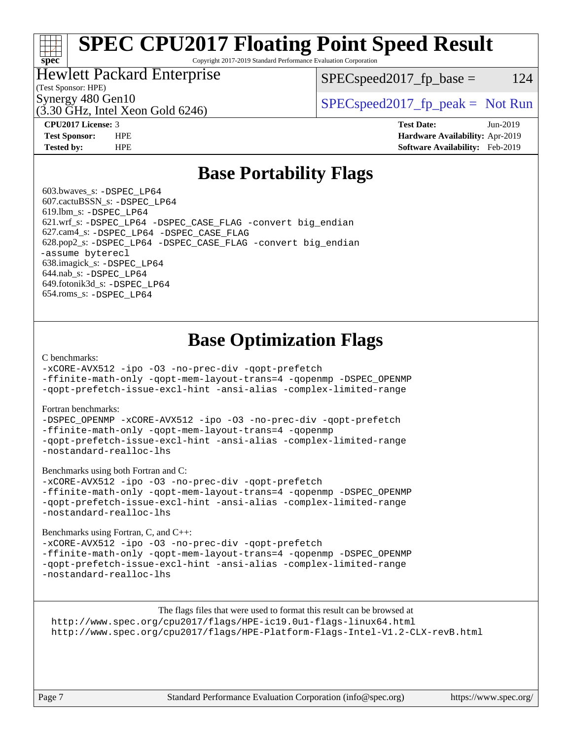# **[SPEC CPU2017 Floating Point Speed Result](http://www.spec.org/auto/cpu2017/Docs/result-fields.html#SPECCPU2017FloatingPointSpeedResult)**

Copyright 2017-2019 Standard Performance Evaluation Corporation

## Hewlett Packard Enterprise

 $SPEC speed2017_fp\_base = 124$ 

## (Test Sponsor: HPE)

(3.30 GHz, Intel Xeon Gold 6246)

Synergy 480 Gen10  $S^{per}$  [SPECspeed2017\\_fp\\_peak =](http://www.spec.org/auto/cpu2017/Docs/result-fields.html#SPECspeed2017fppeak) Not Run

**[spec](http://www.spec.org/)**

**[CPU2017 License:](http://www.spec.org/auto/cpu2017/Docs/result-fields.html#CPU2017License)** 3 **[Test Date:](http://www.spec.org/auto/cpu2017/Docs/result-fields.html#TestDate)** Jun-2019 **[Test Sponsor:](http://www.spec.org/auto/cpu2017/Docs/result-fields.html#TestSponsor)** HPE **[Hardware Availability:](http://www.spec.org/auto/cpu2017/Docs/result-fields.html#HardwareAvailability)** Apr-2019 **[Tested by:](http://www.spec.org/auto/cpu2017/Docs/result-fields.html#Testedby)** HPE **[Software Availability:](http://www.spec.org/auto/cpu2017/Docs/result-fields.html#SoftwareAvailability)** Feb-2019

## **[Base Portability Flags](http://www.spec.org/auto/cpu2017/Docs/result-fields.html#BasePortabilityFlags)**

 603.bwaves\_s: [-DSPEC\\_LP64](http://www.spec.org/cpu2017/results/res2019q3/cpu2017-20190624-15601.flags.html#suite_basePORTABILITY603_bwaves_s_DSPEC_LP64) 607.cactuBSSN\_s: [-DSPEC\\_LP64](http://www.spec.org/cpu2017/results/res2019q3/cpu2017-20190624-15601.flags.html#suite_basePORTABILITY607_cactuBSSN_s_DSPEC_LP64) 619.lbm\_s: [-DSPEC\\_LP64](http://www.spec.org/cpu2017/results/res2019q3/cpu2017-20190624-15601.flags.html#suite_basePORTABILITY619_lbm_s_DSPEC_LP64) 621.wrf\_s: [-DSPEC\\_LP64](http://www.spec.org/cpu2017/results/res2019q3/cpu2017-20190624-15601.flags.html#suite_basePORTABILITY621_wrf_s_DSPEC_LP64) [-DSPEC\\_CASE\\_FLAG](http://www.spec.org/cpu2017/results/res2019q3/cpu2017-20190624-15601.flags.html#b621.wrf_s_baseCPORTABILITY_DSPEC_CASE_FLAG) [-convert big\\_endian](http://www.spec.org/cpu2017/results/res2019q3/cpu2017-20190624-15601.flags.html#user_baseFPORTABILITY621_wrf_s_convert_big_endian_c3194028bc08c63ac5d04de18c48ce6d347e4e562e8892b8bdbdc0214820426deb8554edfa529a3fb25a586e65a3d812c835984020483e7e73212c4d31a38223) 627.cam4\_s: [-DSPEC\\_LP64](http://www.spec.org/cpu2017/results/res2019q3/cpu2017-20190624-15601.flags.html#suite_basePORTABILITY627_cam4_s_DSPEC_LP64) [-DSPEC\\_CASE\\_FLAG](http://www.spec.org/cpu2017/results/res2019q3/cpu2017-20190624-15601.flags.html#b627.cam4_s_baseCPORTABILITY_DSPEC_CASE_FLAG) 628.pop2\_s: [-DSPEC\\_LP64](http://www.spec.org/cpu2017/results/res2019q3/cpu2017-20190624-15601.flags.html#suite_basePORTABILITY628_pop2_s_DSPEC_LP64) [-DSPEC\\_CASE\\_FLAG](http://www.spec.org/cpu2017/results/res2019q3/cpu2017-20190624-15601.flags.html#b628.pop2_s_baseCPORTABILITY_DSPEC_CASE_FLAG) [-convert big\\_endian](http://www.spec.org/cpu2017/results/res2019q3/cpu2017-20190624-15601.flags.html#user_baseFPORTABILITY628_pop2_s_convert_big_endian_c3194028bc08c63ac5d04de18c48ce6d347e4e562e8892b8bdbdc0214820426deb8554edfa529a3fb25a586e65a3d812c835984020483e7e73212c4d31a38223) [-assume byterecl](http://www.spec.org/cpu2017/results/res2019q3/cpu2017-20190624-15601.flags.html#user_baseFPORTABILITY628_pop2_s_assume_byterecl_7e47d18b9513cf18525430bbf0f2177aa9bf368bc7a059c09b2c06a34b53bd3447c950d3f8d6c70e3faf3a05c8557d66a5798b567902e8849adc142926523472) 638.imagick\_s: [-DSPEC\\_LP64](http://www.spec.org/cpu2017/results/res2019q3/cpu2017-20190624-15601.flags.html#suite_basePORTABILITY638_imagick_s_DSPEC_LP64) 644.nab\_s: [-DSPEC\\_LP64](http://www.spec.org/cpu2017/results/res2019q3/cpu2017-20190624-15601.flags.html#suite_basePORTABILITY644_nab_s_DSPEC_LP64) 649.fotonik3d\_s: [-DSPEC\\_LP64](http://www.spec.org/cpu2017/results/res2019q3/cpu2017-20190624-15601.flags.html#suite_basePORTABILITY649_fotonik3d_s_DSPEC_LP64) 654.roms\_s: [-DSPEC\\_LP64](http://www.spec.org/cpu2017/results/res2019q3/cpu2017-20190624-15601.flags.html#suite_basePORTABILITY654_roms_s_DSPEC_LP64)

## **[Base Optimization Flags](http://www.spec.org/auto/cpu2017/Docs/result-fields.html#BaseOptimizationFlags)**

#### [C benchmarks](http://www.spec.org/auto/cpu2017/Docs/result-fields.html#Cbenchmarks):

[-xCORE-AVX512](http://www.spec.org/cpu2017/results/res2019q3/cpu2017-20190624-15601.flags.html#user_CCbase_f-xCORE-AVX512) [-ipo](http://www.spec.org/cpu2017/results/res2019q3/cpu2017-20190624-15601.flags.html#user_CCbase_f-ipo) [-O3](http://www.spec.org/cpu2017/results/res2019q3/cpu2017-20190624-15601.flags.html#user_CCbase_f-O3) [-no-prec-div](http://www.spec.org/cpu2017/results/res2019q3/cpu2017-20190624-15601.flags.html#user_CCbase_f-no-prec-div) [-qopt-prefetch](http://www.spec.org/cpu2017/results/res2019q3/cpu2017-20190624-15601.flags.html#user_CCbase_f-qopt-prefetch)

[-ffinite-math-only](http://www.spec.org/cpu2017/results/res2019q3/cpu2017-20190624-15601.flags.html#user_CCbase_f_finite_math_only_cb91587bd2077682c4b38af759c288ed7c732db004271a9512da14a4f8007909a5f1427ecbf1a0fb78ff2a814402c6114ac565ca162485bbcae155b5e4258871) [-qopt-mem-layout-trans=4](http://www.spec.org/cpu2017/results/res2019q3/cpu2017-20190624-15601.flags.html#user_CCbase_f-qopt-mem-layout-trans_fa39e755916c150a61361b7846f310bcdf6f04e385ef281cadf3647acec3f0ae266d1a1d22d972a7087a248fd4e6ca390a3634700869573d231a252c784941a8) [-qopenmp](http://www.spec.org/cpu2017/results/res2019q3/cpu2017-20190624-15601.flags.html#user_CCbase_qopenmp_16be0c44f24f464004c6784a7acb94aca937f053568ce72f94b139a11c7c168634a55f6653758ddd83bcf7b8463e8028bb0b48b77bcddc6b78d5d95bb1df2967) [-DSPEC\\_OPENMP](http://www.spec.org/cpu2017/results/res2019q3/cpu2017-20190624-15601.flags.html#suite_CCbase_DSPEC_OPENMP) [-qopt-prefetch-issue-excl-hint](http://www.spec.org/cpu2017/results/res2019q3/cpu2017-20190624-15601.flags.html#user_CCbase_f-qopt-prefetch-issue-excl-hint) [-ansi-alias](http://www.spec.org/cpu2017/results/res2019q3/cpu2017-20190624-15601.flags.html#user_CCbase_f-ansi-alias) [-complex-limited-range](http://www.spec.org/cpu2017/results/res2019q3/cpu2017-20190624-15601.flags.html#user_CCbase_f-complex-limited-range)

#### [Fortran benchmarks](http://www.spec.org/auto/cpu2017/Docs/result-fields.html#Fortranbenchmarks):

[-DSPEC\\_OPENMP](http://www.spec.org/cpu2017/results/res2019q3/cpu2017-20190624-15601.flags.html#suite_FCbase_DSPEC_OPENMP) [-xCORE-AVX512](http://www.spec.org/cpu2017/results/res2019q3/cpu2017-20190624-15601.flags.html#user_FCbase_f-xCORE-AVX512) [-ipo](http://www.spec.org/cpu2017/results/res2019q3/cpu2017-20190624-15601.flags.html#user_FCbase_f-ipo) [-O3](http://www.spec.org/cpu2017/results/res2019q3/cpu2017-20190624-15601.flags.html#user_FCbase_f-O3) [-no-prec-div](http://www.spec.org/cpu2017/results/res2019q3/cpu2017-20190624-15601.flags.html#user_FCbase_f-no-prec-div) [-qopt-prefetch](http://www.spec.org/cpu2017/results/res2019q3/cpu2017-20190624-15601.flags.html#user_FCbase_f-qopt-prefetch) [-ffinite-math-only](http://www.spec.org/cpu2017/results/res2019q3/cpu2017-20190624-15601.flags.html#user_FCbase_f_finite_math_only_cb91587bd2077682c4b38af759c288ed7c732db004271a9512da14a4f8007909a5f1427ecbf1a0fb78ff2a814402c6114ac565ca162485bbcae155b5e4258871) [-qopt-mem-layout-trans=4](http://www.spec.org/cpu2017/results/res2019q3/cpu2017-20190624-15601.flags.html#user_FCbase_f-qopt-mem-layout-trans_fa39e755916c150a61361b7846f310bcdf6f04e385ef281cadf3647acec3f0ae266d1a1d22d972a7087a248fd4e6ca390a3634700869573d231a252c784941a8) [-qopenmp](http://www.spec.org/cpu2017/results/res2019q3/cpu2017-20190624-15601.flags.html#user_FCbase_qopenmp_16be0c44f24f464004c6784a7acb94aca937f053568ce72f94b139a11c7c168634a55f6653758ddd83bcf7b8463e8028bb0b48b77bcddc6b78d5d95bb1df2967) [-qopt-prefetch-issue-excl-hint](http://www.spec.org/cpu2017/results/res2019q3/cpu2017-20190624-15601.flags.html#user_FCbase_f-qopt-prefetch-issue-excl-hint) [-ansi-alias](http://www.spec.org/cpu2017/results/res2019q3/cpu2017-20190624-15601.flags.html#user_FCbase_f-ansi-alias) [-complex-limited-range](http://www.spec.org/cpu2017/results/res2019q3/cpu2017-20190624-15601.flags.html#user_FCbase_f-complex-limited-range) [-nostandard-realloc-lhs](http://www.spec.org/cpu2017/results/res2019q3/cpu2017-20190624-15601.flags.html#user_FCbase_f_2003_std_realloc_82b4557e90729c0f113870c07e44d33d6f5a304b4f63d4c15d2d0f1fab99f5daaed73bdb9275d9ae411527f28b936061aa8b9c8f2d63842963b95c9dd6426b8a)

[Benchmarks using both Fortran and C](http://www.spec.org/auto/cpu2017/Docs/result-fields.html#BenchmarksusingbothFortranandC):

[-xCORE-AVX512](http://www.spec.org/cpu2017/results/res2019q3/cpu2017-20190624-15601.flags.html#user_CC_FCbase_f-xCORE-AVX512) [-ipo](http://www.spec.org/cpu2017/results/res2019q3/cpu2017-20190624-15601.flags.html#user_CC_FCbase_f-ipo) [-O3](http://www.spec.org/cpu2017/results/res2019q3/cpu2017-20190624-15601.flags.html#user_CC_FCbase_f-O3) [-no-prec-div](http://www.spec.org/cpu2017/results/res2019q3/cpu2017-20190624-15601.flags.html#user_CC_FCbase_f-no-prec-div) [-qopt-prefetch](http://www.spec.org/cpu2017/results/res2019q3/cpu2017-20190624-15601.flags.html#user_CC_FCbase_f-qopt-prefetch) [-ffinite-math-only](http://www.spec.org/cpu2017/results/res2019q3/cpu2017-20190624-15601.flags.html#user_CC_FCbase_f_finite_math_only_cb91587bd2077682c4b38af759c288ed7c732db004271a9512da14a4f8007909a5f1427ecbf1a0fb78ff2a814402c6114ac565ca162485bbcae155b5e4258871) [-qopt-mem-layout-trans=4](http://www.spec.org/cpu2017/results/res2019q3/cpu2017-20190624-15601.flags.html#user_CC_FCbase_f-qopt-mem-layout-trans_fa39e755916c150a61361b7846f310bcdf6f04e385ef281cadf3647acec3f0ae266d1a1d22d972a7087a248fd4e6ca390a3634700869573d231a252c784941a8) [-qopenmp](http://www.spec.org/cpu2017/results/res2019q3/cpu2017-20190624-15601.flags.html#user_CC_FCbase_qopenmp_16be0c44f24f464004c6784a7acb94aca937f053568ce72f94b139a11c7c168634a55f6653758ddd83bcf7b8463e8028bb0b48b77bcddc6b78d5d95bb1df2967) [-DSPEC\\_OPENMP](http://www.spec.org/cpu2017/results/res2019q3/cpu2017-20190624-15601.flags.html#suite_CC_FCbase_DSPEC_OPENMP) [-qopt-prefetch-issue-excl-hint](http://www.spec.org/cpu2017/results/res2019q3/cpu2017-20190624-15601.flags.html#user_CC_FCbase_f-qopt-prefetch-issue-excl-hint) [-ansi-alias](http://www.spec.org/cpu2017/results/res2019q3/cpu2017-20190624-15601.flags.html#user_CC_FCbase_f-ansi-alias) [-complex-limited-range](http://www.spec.org/cpu2017/results/res2019q3/cpu2017-20190624-15601.flags.html#user_CC_FCbase_f-complex-limited-range) [-nostandard-realloc-lhs](http://www.spec.org/cpu2017/results/res2019q3/cpu2017-20190624-15601.flags.html#user_CC_FCbase_f_2003_std_realloc_82b4557e90729c0f113870c07e44d33d6f5a304b4f63d4c15d2d0f1fab99f5daaed73bdb9275d9ae411527f28b936061aa8b9c8f2d63842963b95c9dd6426b8a)

[Benchmarks using Fortran, C, and C++:](http://www.spec.org/auto/cpu2017/Docs/result-fields.html#BenchmarksusingFortranCandCXX)

[-xCORE-AVX512](http://www.spec.org/cpu2017/results/res2019q3/cpu2017-20190624-15601.flags.html#user_CC_CXX_FCbase_f-xCORE-AVX512) [-ipo](http://www.spec.org/cpu2017/results/res2019q3/cpu2017-20190624-15601.flags.html#user_CC_CXX_FCbase_f-ipo) [-O3](http://www.spec.org/cpu2017/results/res2019q3/cpu2017-20190624-15601.flags.html#user_CC_CXX_FCbase_f-O3) [-no-prec-div](http://www.spec.org/cpu2017/results/res2019q3/cpu2017-20190624-15601.flags.html#user_CC_CXX_FCbase_f-no-prec-div) [-qopt-prefetch](http://www.spec.org/cpu2017/results/res2019q3/cpu2017-20190624-15601.flags.html#user_CC_CXX_FCbase_f-qopt-prefetch) [-ffinite-math-only](http://www.spec.org/cpu2017/results/res2019q3/cpu2017-20190624-15601.flags.html#user_CC_CXX_FCbase_f_finite_math_only_cb91587bd2077682c4b38af759c288ed7c732db004271a9512da14a4f8007909a5f1427ecbf1a0fb78ff2a814402c6114ac565ca162485bbcae155b5e4258871) [-qopt-mem-layout-trans=4](http://www.spec.org/cpu2017/results/res2019q3/cpu2017-20190624-15601.flags.html#user_CC_CXX_FCbase_f-qopt-mem-layout-trans_fa39e755916c150a61361b7846f310bcdf6f04e385ef281cadf3647acec3f0ae266d1a1d22d972a7087a248fd4e6ca390a3634700869573d231a252c784941a8) [-qopenmp](http://www.spec.org/cpu2017/results/res2019q3/cpu2017-20190624-15601.flags.html#user_CC_CXX_FCbase_qopenmp_16be0c44f24f464004c6784a7acb94aca937f053568ce72f94b139a11c7c168634a55f6653758ddd83bcf7b8463e8028bb0b48b77bcddc6b78d5d95bb1df2967) [-DSPEC\\_OPENMP](http://www.spec.org/cpu2017/results/res2019q3/cpu2017-20190624-15601.flags.html#suite_CC_CXX_FCbase_DSPEC_OPENMP) [-qopt-prefetch-issue-excl-hint](http://www.spec.org/cpu2017/results/res2019q3/cpu2017-20190624-15601.flags.html#user_CC_CXX_FCbase_f-qopt-prefetch-issue-excl-hint) [-ansi-alias](http://www.spec.org/cpu2017/results/res2019q3/cpu2017-20190624-15601.flags.html#user_CC_CXX_FCbase_f-ansi-alias) [-complex-limited-range](http://www.spec.org/cpu2017/results/res2019q3/cpu2017-20190624-15601.flags.html#user_CC_CXX_FCbase_f-complex-limited-range) [-nostandard-realloc-lhs](http://www.spec.org/cpu2017/results/res2019q3/cpu2017-20190624-15601.flags.html#user_CC_CXX_FCbase_f_2003_std_realloc_82b4557e90729c0f113870c07e44d33d6f5a304b4f63d4c15d2d0f1fab99f5daaed73bdb9275d9ae411527f28b936061aa8b9c8f2d63842963b95c9dd6426b8a)

The flags files that were used to format this result can be browsed at <http://www.spec.org/cpu2017/flags/HPE-ic19.0u1-flags-linux64.html> <http://www.spec.org/cpu2017/flags/HPE-Platform-Flags-Intel-V1.2-CLX-revB.html>